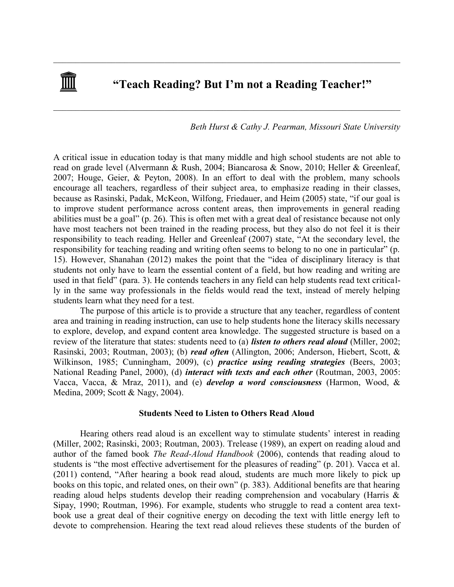# **"Teach Reading? But I'm not a Reading Teacher!"**

 $\mathcal{L}_\mathcal{L} = \{ \mathcal{L}_\mathcal{L} = \{ \mathcal{L}_\mathcal{L} = \{ \mathcal{L}_\mathcal{L} = \{ \mathcal{L}_\mathcal{L} = \{ \mathcal{L}_\mathcal{L} = \{ \mathcal{L}_\mathcal{L} = \{ \mathcal{L}_\mathcal{L} = \{ \mathcal{L}_\mathcal{L} = \{ \mathcal{L}_\mathcal{L} = \{ \mathcal{L}_\mathcal{L} = \{ \mathcal{L}_\mathcal{L} = \{ \mathcal{L}_\mathcal{L} = \{ \mathcal{L}_\mathcal{L} = \{ \mathcal{L}_\mathcal{$ 

 $\mathcal{L}_\mathcal{L} = \{ \mathcal{L}_\mathcal{L} = \{ \mathcal{L}_\mathcal{L} = \{ \mathcal{L}_\mathcal{L} = \{ \mathcal{L}_\mathcal{L} = \{ \mathcal{L}_\mathcal{L} = \{ \mathcal{L}_\mathcal{L} = \{ \mathcal{L}_\mathcal{L} = \{ \mathcal{L}_\mathcal{L} = \{ \mathcal{L}_\mathcal{L} = \{ \mathcal{L}_\mathcal{L} = \{ \mathcal{L}_\mathcal{L} = \{ \mathcal{L}_\mathcal{L} = \{ \mathcal{L}_\mathcal{L} = \{ \mathcal{L}_\mathcal{$ 

# *Beth Hurst & Cathy J. Pearman, Missouri State University*

A critical issue in education today is that many middle and high school students are not able to read on grade level (Alvermann & Rush, 2004; Biancarosa & Snow, 2010; Heller & Greenleaf, 2007; Houge, Geier, & Peyton, 2008). In an effort to deal with the problem, many schools encourage all teachers, regardless of their subject area, to emphasize reading in their classes, because as Rasinski, Padak, McKeon, Wilfong, Friedauer, and Heim (2005) state, "if our goal is to improve student performance across content areas, then improvements in general reading abilities must be a goal" (p. 26). This is often met with a great deal of resistance because not only have most teachers not been trained in the reading process, but they also do not feel it is their responsibility to teach reading. Heller and Greenleaf (2007) state, "At the secondary level, the responsibility for teaching reading and writing often seems to belong to no one in particular" (p. 15). However, Shanahan (2012) makes the point that the "idea of disciplinary literacy is that students not only have to learn the essential content of a field, but how reading and writing are used in that field" (para. 3). He contends teachers in any field can help students read text critically in the same way professionals in the fields would read the text, instead of merely helping students learn what they need for a test.

The purpose of this article is to provide a structure that any teacher, regardless of content area and training in reading instruction, can use to help students hone the literacy skills necessary to explore, develop, and expand content area knowledge. The suggested structure is based on a review of the literature that states: students need to (a) *listen to others read aloud* (Miller, 2002; Rasinski, 2003; Routman, 2003); (b) *read often* (Allington, 2006; Anderson, Hiebert, Scott, & Wilkinson, 1985; Cunningham, 2009), (c) *practice using reading strategies* (Beers, 2003; National Reading Panel, 2000), (d) *interact with texts and each other* (Routman, 2003, 2005: Vacca, Vacca, & Mraz, 2011), and (e) *develop a word consciousness* (Harmon, Wood, & Medina, 2009; Scott & Nagy, 2004).

## **Students Need to Listen to Others Read Aloud**

Hearing others read aloud is an excellent way to stimulate students' interest in reading (Miller, 2002; Rasinski, 2003; Routman, 2003). Trelease (1989), an expert on reading aloud and author of the famed book *The Read-Aloud Handbook* (2006), contends that reading aloud to students is "the most effective advertisement for the pleasures of reading" (p. 201). Vacca et al. (2011) contend, "After hearing a book read aloud, students are much more likely to pick up books on this topic, and related ones, on their own" (p. 383). Additional benefits are that hearing reading aloud helps students develop their reading comprehension and vocabulary (Harris & Sipay, 1990; Routman, 1996). For example, students who struggle to read a content area textbook use a great deal of their cognitive energy on decoding the text with little energy left to devote to comprehension. Hearing the text read aloud relieves these students of the burden of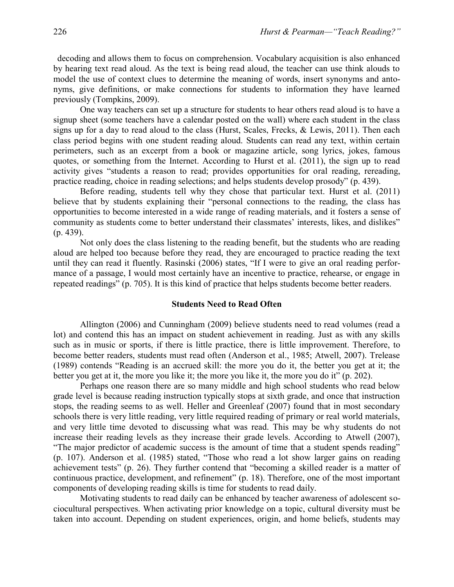decoding and allows them to focus on comprehension. Vocabulary acquisition is also enhanced by hearing text read aloud. As the text is being read aloud, the teacher can use think alouds to model the use of context clues to determine the meaning of words, insert synonyms and antonyms, give definitions, or make connections for students to information they have learned previously (Tompkins, 2009).

One way teachers can set up a structure for students to hear others read aloud is to have a signup sheet (some teachers have a calendar posted on the wall) where each student in the class signs up for a day to read aloud to the class (Hurst, Scales, Frecks, & Lewis, 2011). Then each class period begins with one student reading aloud. Students can read any text, within certain perimeters, such as an excerpt from a book or magazine article, song lyrics, jokes, famous quotes, or something from the Internet. According to Hurst et al. (2011), the sign up to read activity gives "students a reason to read; provides opportunities for oral reading, rereading, practice reading, choice in reading selections; and helps students develop prosody" (p. 439).

Before reading, students tell why they chose that particular text. Hurst et al. (2011) believe that by students explaining their "personal connections to the reading, the class has opportunities to become interested in a wide range of reading materials, and it fosters a sense of community as students come to better understand their classmates' interests, likes, and dislikes" (p. 439).

Not only does the class listening to the reading benefit, but the students who are reading aloud are helped too because before they read, they are encouraged to practice reading the text until they can read it fluently. Rasinski (2006) states, "If I were to give an oral reading performance of a passage, I would most certainly have an incentive to practice, rehearse, or engage in repeated readings" (p. 705). It is this kind of practice that helps students become better readers.

## **Students Need to Read Often**

Allington (2006) and Cunningham (2009) believe students need to read volumes (read a lot) and contend this has an impact on student achievement in reading. Just as with any skills such as in music or sports, if there is little practice, there is little improvement. Therefore, to become better readers, students must read often (Anderson et al., 1985; Atwell, 2007). Trelease (1989) contends "Reading is an accrued skill: the more you do it, the better you get at it; the better you get at it, the more you like it; the more you like it, the more you do it" (p. 202).

Perhaps one reason there are so many middle and high school students who read below grade level is because reading instruction typically stops at sixth grade, and once that instruction stops, the reading seems to as well. Heller and Greenleaf (2007) found that in most secondary schools there is very little reading, very little required reading of primary or real world materials, and very little time devoted to discussing what was read. This may be why students do not increase their reading levels as they increase their grade levels. According to Atwell (2007), "The major predictor of academic success is the amount of time that a student spends reading" (p. 107). Anderson et al. (1985) stated, "Those who read a lot show larger gains on reading achievement tests" (p. 26). They further contend that "becoming a skilled reader is a matter of continuous practice, development, and refinement" (p. 18). Therefore, one of the most important components of developing reading skills is time for students to read daily.

Motivating students to read daily can be enhanced by teacher awareness of adolescent sociocultural perspectives. When activating prior knowledge on a topic, cultural diversity must be taken into account. Depending on student experiences, origin, and home beliefs, students may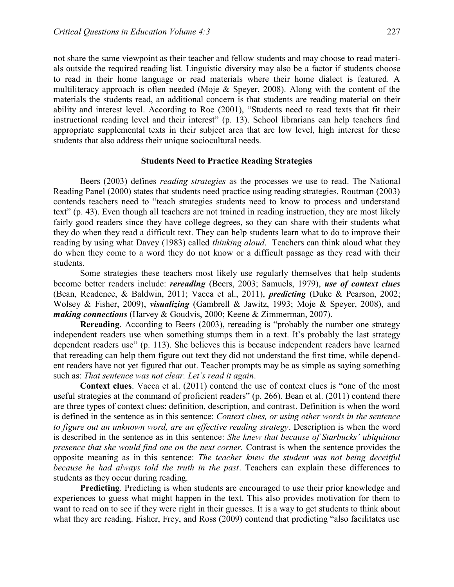not share the same viewpoint as their teacher and fellow students and may choose to read materials outside the required reading list. Linguistic diversity may also be a factor if students choose to read in their home language or read materials where their home dialect is featured. A multiliteracy approach is often needed (Moje & Speyer, 2008). Along with the content of the materials the students read, an additional concern is that students are reading material on their ability and interest level. According to Roe (2001), "Students need to read texts that fit their instructional reading level and their interest" (p. 13). School librarians can help teachers find appropriate supplemental texts in their subject area that are low level, high interest for these students that also address their unique sociocultural needs.

#### **Students Need to Practice Reading Strategies**

Beers (2003) defines *reading strategies* as the processes we use to read. The National Reading Panel (2000) states that students need practice using reading strategies. Routman (2003) contends teachers need to "teach strategies students need to know to process and understand text" (p. 43). Even though all teachers are not trained in reading instruction, they are most likely fairly good readers since they have college degrees, so they can share with their students what they do when they read a difficult text. They can help students learn what to do to improve their reading by using what Davey (1983) called *thinking aloud*. Teachers can think aloud what they do when they come to a word they do not know or a difficult passage as they read with their students.

Some strategies these teachers most likely use regularly themselves that help students become better readers include: *rereading* (Beers, 2003; Samuels, 1979), *use of context clues* (Bean, Readence, & Baldwin, 2011; Vacca et al., 2011), *predicting* (Duke & Pearson, 2002; Wolsey & Fisher, 2009), *visualizing* (Gambrell & Jawitz, 1993; Moje & Speyer, 2008), and *making connections* (Harvey & Goudvis, 2000; Keene & Zimmerman, 2007).

**Rereading**. According to Beers (2003), rereading is "probably the number one strategy independent readers use when something stumps them in a text. It's probably the last strategy dependent readers use" (p. 113). She believes this is because independent readers have learned that rereading can help them figure out text they did not understand the first time, while dependent readers have not yet figured that out. Teacher prompts may be as simple as saying something such as: *That sentence was not clear. Let's read it again*.

**Context clues**. Vacca et al. (2011) contend the use of context clues is "one of the most useful strategies at the command of proficient readers" (p. 266). Bean et al. (2011) contend there are three types of context clues: definition, description, and contrast. Definition is when the word is defined in the sentence as in this sentence: *Context clues, or using other words in the sentence to figure out an unknown word, are an effective reading strategy*. Description is when the word is described in the sentence as in this sentence: *She knew that because of Starbucks' ubiquitous presence that she would find one on the next corner.* Contrast is when the sentence provides the opposite meaning as in this sentence: *The teacher knew the student was not being deceitful because he had always told the truth in the past*. Teachers can explain these differences to students as they occur during reading.

**Predicting**. Predicting is when students are encouraged to use their prior knowledge and experiences to guess what might happen in the text. This also provides motivation for them to want to read on to see if they were right in their guesses. It is a way to get students to think about what they are reading. Fisher, Frey, and Ross (2009) contend that predicting "also facilitates use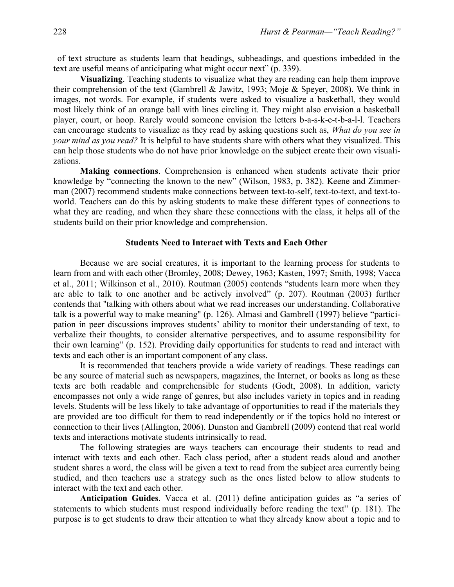of text structure as students learn that headings, subheadings, and questions imbedded in the text are useful means of anticipating what might occur next" (p. 339).

**Visualizing**. Teaching students to visualize what they are reading can help them improve their comprehension of the text (Gambrell & Jawitz, 1993; Moje & Speyer, 2008). We think in images, not words. For example, if students were asked to visualize a basketball, they would most likely think of an orange ball with lines circling it. They might also envision a basketball player, court, or hoop. Rarely would someone envision the letters b-a-s-k-e-t-b-a-l-l. Teachers can encourage students to visualize as they read by asking questions such as, *What do you see in your mind as you read?* It is helpful to have students share with others what they visualized. This can help those students who do not have prior knowledge on the subject create their own visualizations.

**Making connections**. Comprehension is enhanced when students activate their prior knowledge by "connecting the known to the new" (Wilson, 1983, p. 382). Keene and Zimmerman (2007) recommend students make connections between text-to-self, text-to-text, and text-toworld. Teachers can do this by asking students to make these different types of connections to what they are reading, and when they share these connections with the class, it helps all of the students build on their prior knowledge and comprehension.

#### **Students Need to Interact with Texts and Each Other**

Because we are social creatures, it is important to the learning process for students to learn from and with each other (Bromley, 2008; Dewey, 1963; Kasten, 1997; Smith, 1998; Vacca et al., 2011; Wilkinson et al., 2010). Routman (2005) contends "students learn more when they are able to talk to one another and be actively involved" (p. 207). Routman (2003) further contends that "talking with others about what we read increases our understanding. Collaborative talk is a powerful way to make meaning" (p. 126). Almasi and Gambrell (1997) believe "participation in peer discussions improves students' ability to monitor their understanding of text, to verbalize their thoughts, to consider alternative perspectives, and to assume responsibility for their own learning" (p. 152). Providing daily opportunities for students to read and interact with texts and each other is an important component of any class.

It is recommended that teachers provide a wide variety of readings. These readings can be any source of material such as newspapers, magazines, the Internet, or books as long as these texts are both readable and comprehensible for students (Godt, 2008). In addition, variety encompasses not only a wide range of genres, but also includes variety in topics and in reading levels. Students will be less likely to take advantage of opportunities to read if the materials they are provided are too difficult for them to read independently or if the topics hold no interest or connection to their lives (Allington, 2006). Dunston and Gambrell (2009) contend that real world texts and interactions motivate students intrinsically to read.

The following strategies are ways teachers can encourage their students to read and interact with texts and each other. Each class period, after a student reads aloud and another student shares a word, the class will be given a text to read from the subject area currently being studied, and then teachers use a strategy such as the ones listed below to allow students to interact with the text and each other.

**Anticipation Guides**. Vacca et al. (2011) define anticipation guides as "a series of statements to which students must respond individually before reading the text" (p. 181). The purpose is to get students to draw their attention to what they already know about a topic and to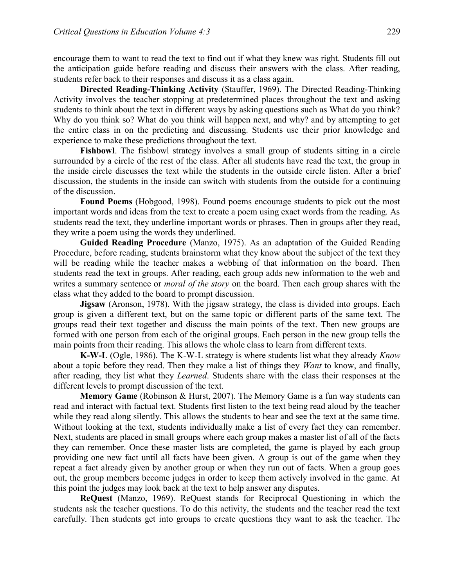encourage them to want to read the text to find out if what they knew was right. Students fill out the anticipation guide before reading and discuss their answers with the class. After reading, students refer back to their responses and discuss it as a class again.

**Directed Reading-Thinking Activity** (Stauffer, 1969). The Directed Reading-Thinking Activity involves the teacher stopping at predetermined places throughout the text and asking students to think about the text in different ways by asking questions such as What do you think? Why do you think so? What do you think will happen next, and why? and by attempting to get the entire class in on the predicting and discussing. Students use their prior knowledge and experience to make these predictions throughout the text.

**Fishbowl**. The fishbowl strategy involves a small group of students sitting in a circle surrounded by a circle of the rest of the class. After all students have read the text, the group in the inside circle discusses the text while the students in the outside circle listen. After a brief discussion, the students in the inside can switch with students from the outside for a continuing of the discussion.

**Found Poems** (Hobgood, 1998). Found poems encourage students to pick out the most important words and ideas from the text to create a poem using exact words from the reading. As students read the text, they underline important words or phrases. Then in groups after they read, they write a poem using the words they underlined.

**Guided Reading Procedure** (Manzo, 1975). As an adaptation of the Guided Reading Procedure, before reading, students brainstorm what they know about the subject of the text they will be reading while the teacher makes a webbing of that information on the board. Then students read the text in groups. After reading, each group adds new information to the web and writes a summary sentence or *moral of the story* on the board. Then each group shares with the class what they added to the board to prompt discussion.

**Jigsaw** (Aronson, 1978). With the jigsaw strategy, the class is divided into groups. Each group is given a different text, but on the same topic or different parts of the same text. The groups read their text together and discuss the main points of the text. Then new groups are formed with one person from each of the original groups. Each person in the new group tells the main points from their reading. This allows the whole class to learn from different texts.

**K-W-L** (Ogle, 1986). The K-W-L strategy is where students list what they already *Know* about a topic before they read. Then they make a list of things they *Want* to know, and finally, after reading, they list what they *Learned*. Students share with the class their responses at the different levels to prompt discussion of the text.

**Memory Game** (Robinson & Hurst, 2007). The Memory Game is a fun way students can read and interact with factual text. Students first listen to the text being read aloud by the teacher while they read along silently. This allows the students to hear and see the text at the same time. Without looking at the text, students individually make a list of every fact they can remember. Next, students are placed in small groups where each group makes a master list of all of the facts they can remember. Once these master lists are completed, the game is played by each group providing one new fact until all facts have been given. A group is out of the game when they repeat a fact already given by another group or when they run out of facts. When a group goes out, the group members become judges in order to keep them actively involved in the game. At this point the judges may look back at the text to help answer any disputes.

**ReQuest** (Manzo, 1969). ReQuest stands for Reciprocal Questioning in which the students ask the teacher questions. To do this activity, the students and the teacher read the text carefully. Then students get into groups to create questions they want to ask the teacher. The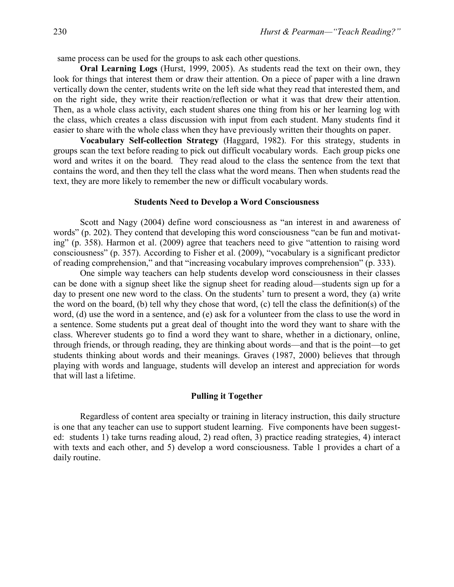same process can be used for the groups to ask each other questions.

**Oral Learning Logs** (Hurst, 1999, 2005). As students read the text on their own, they look for things that interest them or draw their attention. On a piece of paper with a line drawn vertically down the center, students write on the left side what they read that interested them, and on the right side, they write their reaction/reflection or what it was that drew their attention. Then, as a whole class activity, each student shares one thing from his or her learning log with the class, which creates a class discussion with input from each student. Many students find it easier to share with the whole class when they have previously written their thoughts on paper.

**Vocabulary Self-collection Strategy** (Haggard, 1982). For this strategy, students in groups scan the text before reading to pick out difficult vocabulary words. Each group picks one word and writes it on the board. They read aloud to the class the sentence from the text that contains the word, and then they tell the class what the word means. Then when students read the text, they are more likely to remember the new or difficult vocabulary words.

#### **Students Need to Develop a Word Consciousness**

Scott and Nagy (2004) define word consciousness as "an interest in and awareness of words" (p. 202). They contend that developing this word consciousness "can be fun and motivating" (p. 358). Harmon et al. (2009) agree that teachers need to give "attention to raising word consciousness" (p. 357). According to Fisher et al. (2009), "vocabulary is a significant predictor of reading comprehension," and that "increasing vocabulary improves comprehension" (p. 333).

One simple way teachers can help students develop word consciousness in their classes can be done with a signup sheet like the signup sheet for reading aloud—students sign up for a day to present one new word to the class. On the students' turn to present a word, they (a) write the word on the board, (b) tell why they chose that word, (c) tell the class the definition(s) of the word, (d) use the word in a sentence, and (e) ask for a volunteer from the class to use the word in a sentence. Some students put a great deal of thought into the word they want to share with the class. Wherever students go to find a word they want to share, whether in a dictionary, online, through friends, or through reading, they are thinking about words—and that is the point—to get students thinking about words and their meanings. Graves (1987, 2000) believes that through playing with words and language, students will develop an interest and appreciation for words that will last a lifetime.

# **Pulling it Together**

Regardless of content area specialty or training in literacy instruction, this daily structure is one that any teacher can use to support student learning. Five components have been suggested: students 1) take turns reading aloud, 2) read often, 3) practice reading strategies, 4) interact with texts and each other, and 5) develop a word consciousness. Table 1 provides a chart of a daily routine.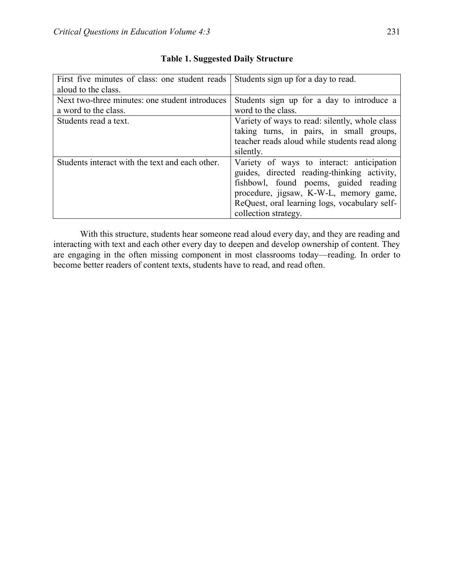| First five minutes of class: one student reads<br>aloud to the class.  | Students sign up for a day to read.                                                                                                                                                                                                                  |
|------------------------------------------------------------------------|------------------------------------------------------------------------------------------------------------------------------------------------------------------------------------------------------------------------------------------------------|
| Next two-three minutes: one student introduces<br>a word to the class. | Students sign up for a day to introduce a<br>word to the class.                                                                                                                                                                                      |
| Students read a text.                                                  | Variety of ways to read: silently, whole class<br>taking turns, in pairs, in small groups,<br>teacher reads aloud while students read along<br>silently.                                                                                             |
| Students interact with the text and each other.                        | Variety of ways to interact: anticipation<br>guides, directed reading-thinking activity,<br>fishbowl, found poems, guided reading<br>procedure, jigsaw, K-W-L, memory game,<br>ReQuest, oral learning logs, vocabulary self-<br>collection strategy. |

# **Table 1. Suggested Daily Structure**

With this structure, students hear someone read aloud every day, and they are reading and interacting with text and each other every day to deepen and develop ownership of content. They are engaging in the often missing component in most classrooms today—reading. In order to become better readers of content texts, students have to read, and read often.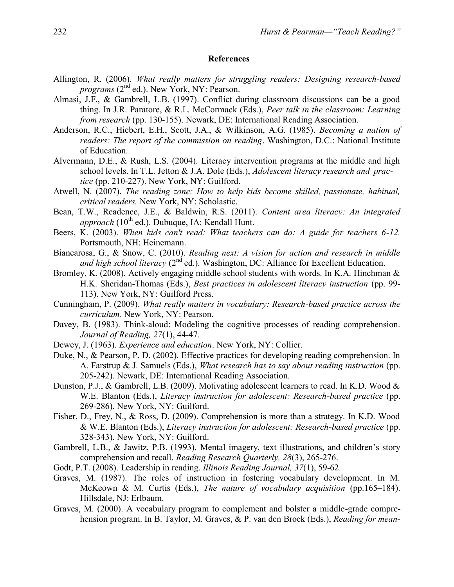## **References**

- Allington, R. (2006). *What really matters for struggling readers: Designing research-based programs* (2<sup>nd</sup> ed.). New York, NY: Pearson.
- Almasi, J.F., & Gambrell, L.B. (1997). Conflict during classroom discussions can be a good thing. In J.R. Paratore, & R.L. McCormack (Eds.), *Peer talk in the classroom: Learning from research* (pp. 130-155). Newark, DE: International Reading Association.
- Anderson, R.C., Hiebert, E.H., Scott, J.A., & Wilkinson, A.G. (1985). *Becoming a nation of readers: The report of the commission on reading*. Washington, D.C.: National Institute of Education.
- Alvermann, D.E., & Rush, L.S. (2004). Literacy intervention programs at the middle and high school levels. In T.L. Jetton & J.A. Dole (Eds.), *Adolescent literacy research and practice* (pp. 210-227). New York, NY: Guilford.
- Atwell, N. (2007). *The reading zone: How to help kids become skilled, passionate, habitual, critical readers.* New York, NY: Scholastic.
- Bean, T.W., Readence, J.E., & Baldwin, R.S. (2011). *Content area literacy: An integrated approach*  $(10^{th}$  ed.). Dubuque, IA: Kendall Hunt.
- Beers, K. (2003). *When kids can't read: What teachers can do: A guide for teachers 6-12.*  Portsmouth, NH: Heinemann.
- Biancarosa, G., & Snow, C. (2010). *Reading next: A vision for action and research in middle and high school literacy* (2<sup>nd</sup> ed.). Washington, DC: Alliance for Excellent Education.
- Bromley, K. (2008). Actively engaging middle school students with words. In K.A. Hinchman & H.K. Sheridan-Thomas (Eds.), *Best practices in adolescent literacy instruction* (pp. 99- 113). New York, NY: Guilford Press.
- Cunningham, P. (2009). *What really matters in vocabulary: Research-based practice across the curriculum*. New York, NY: Pearson.
- Davey, B. (1983). Think-aloud: Modeling the cognitive processes of reading comprehension. *Journal of Reading, 27*(1), 44-47.
- Dewey, J. (1963). *Experience and education*. New York, NY: Collier.
- Duke, N., & Pearson, P. D. (2002). Effective practices for developing reading comprehension. In A. Farstrup & J. Samuels (Eds.), *What research has to say about reading instruction* (pp. 205-242). Newark, DE: International Reading Association.
- Dunston, P.J., & Gambrell, L.B. (2009). Motivating adolescent learners to read. In K.D. Wood & W.E. Blanton (Eds.), *Literacy instruction for adolescent: Research-based practice* (pp. 269-286). New York, NY: Guilford.
- Fisher, D., Frey, N., & Ross, D. (2009). Comprehension is more than a strategy. In K.D. Wood & W.E. Blanton (Eds.), *Literacy instruction for adolescent: Research-based practice* (pp. 328-343). New York, NY: Guilford.
- Gambrell, L.B., & Jawitz, P.B. (1993). Mental imagery, text illustrations, and children's story comprehension and recall. *Reading Research Quarterly, 28*(3), 265-276.
- Godt, P.T. (2008). Leadership in reading. *Illinois Reading Journal, 37*(1), 59-62.
- Graves, M. (1987). The roles of instruction in fostering vocabulary development. In M. McKeown & M. Curtis (Eds.), *The nature of vocabulary acquisition* (pp.165–184). Hillsdale, NJ: Erlbaum.
- Graves, M. (2000). A vocabulary program to complement and bolster a middle-grade comprehension program. In B. Taylor, M. Graves, & P. van den Broek (Eds.), *Reading for mean-*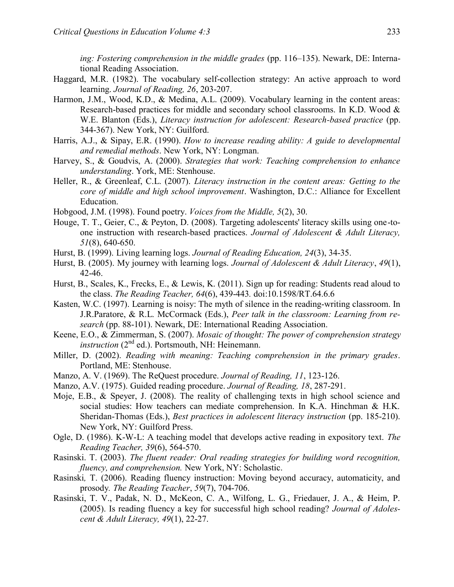*ing: Fostering comprehension in the middle grades* (pp. 116–135). Newark, DE: International Reading Association.

- Haggard, M.R. (1982). The vocabulary self-collection strategy: An active approach to word learning. *Journal of Reading, 26*, 203-207.
- Harmon, J.M., Wood, K.D., & Medina, A.L. (2009). Vocabulary learning in the content areas: Research-based practices for middle and secondary school classrooms. In K.D. Wood & W.E. Blanton (Eds.), *Literacy instruction for adolescent: Research-based practice* (pp. 344-367). New York, NY: Guilford.
- Harris, A.J., & Sipay, E.R. (1990). *How to increase reading ability: A guide to developmental and remedial methods*. New York, NY: Longman.
- Harvey, S., & Goudvis, A. (2000). *Strategies that work: Teaching comprehension to enhance understanding*. York, ME: Stenhouse.
- Heller, R., & Greenleaf, C.L. (2007). *Literacy instruction in the content areas: Getting to the core of middle and high school improvement*. Washington, D.C.: Alliance for Excellent Education.
- Hobgood, J.M. (1998). Found poetry. *Voices from the Middle, 5*(2), 30.
- Houge, T. T., Geier, C., & Peyton, D. (2008). Targeting adolescents' literacy skills using one-toone instruction with research-based practices. *Journal of Adolescent & Adult Literacy, 51*(8), 640-650.
- Hurst, B. (1999). Living learning logs. *Journal of Reading Education, 24*(3), 34-35.
- Hurst, B. (2005). My journey with learning logs. *Journal of Adolescent & Adult Literacy*, *49*(1), 42-46.
- Hurst, B., Scales, K., Frecks, E., & Lewis, K. (2011). Sign up for reading: Students read aloud to the class. *The Reading Teacher, 64*(6), 439-443*.* doi:10.1598/RT.64.6.6
- Kasten, W.C. (1997). Learning is noisy: The myth of silence in the reading-writing classroom. In J.R.Paratore, & R.L. McCormack (Eds.), *Peer talk in the classroom: Learning from research* (pp. 88-101). Newark, DE: International Reading Association.
- Keene, E.O., & Zimmerman, S. (2007). *Mosaic of thought: The power of comprehension strategy instruction* (2<sup>nd</sup> ed.). Portsmouth, NH: Heinemann.
- Miller, D. (2002). *Reading with meaning: Teaching comprehension in the primary grades*. Portland, ME: Stenhouse.
- Manzo, A. V. (1969). The ReQuest procedure. *Journal of Reading, 11*, 123-126.
- Manzo, A.V. (1975). Guided reading procedure. *Journal of Reading, 18*, 287-291.
- Moje, E.B., & Speyer, J. (2008). The reality of challenging texts in high school science and social studies: How teachers can mediate comprehension. In K.A. Hinchman & H.K. Sheridan-Thomas (Eds.), *Best practices in adolescent literacy instruction* (pp. 185-210). New York, NY: Guilford Press.
- Ogle, D. (1986). K-W-L: A teaching model that develops active reading in expository text. *The Reading Teacher, 39*(6), 564-570.
- Rasinski. T. (2003). *The fluent reader: Oral reading strategies for building word recognition, fluency, and comprehension.* New York, NY: Scholastic.
- Rasinski*,* T. (2006). Reading fluency instruction: Moving beyond accuracy, automaticity, and prosody*. The Reading Teacher*, *59*(7), 704-706.
- Rasinski, T. V., Padak, N. D., McKeon, C. A., Wilfong, L. G., Friedauer, J. A., & Heim, P. (2005). Is reading fluency a key for successful high school reading? *Journal of Adolescent & Adult Literacy, 49*(1), 22-27.